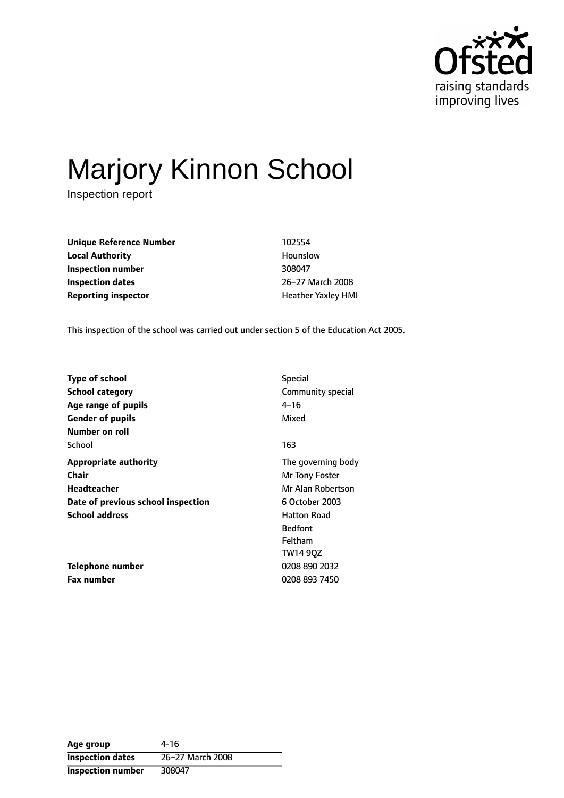

# Marjory Kinnon School

Inspection report

**Unique Reference Number** 102554 **Local Authority Hounslow Inspection number** 308047 **Inspection dates** 26-27 March 2008 **Reporting inspector intervalse in the UP** Heather Yaxley HMI

This inspection of the school was carried out under section 5 of the Education Act 2005.

| <b>Type of school</b>              | <b>Special</b>     |
|------------------------------------|--------------------|
| <b>School category</b>             | Community special  |
| Age range of pupils                | 4–16               |
| <b>Gender of pupils</b>            | Mixed              |
| Number on roll                     |                    |
| School                             | 163                |
| <b>Appropriate authority</b>       | The governing body |
| <b>Chair</b>                       | Mr Tony Foster     |
| Headteacher                        | Mr Alan Robertson  |
| Date of previous school inspection | 6 October 2003     |
| <b>School address</b>              | <b>Hatton Road</b> |
|                                    | <b>Bedfont</b>     |
|                                    | <b>Feltham</b>     |
|                                    | TW14 90Z           |
| Telephone number                   | 0208 890 2032      |
| Fax number                         | 0208 893 7450      |

**Age group** 4-16 **Inspection dates** 26-27 March 2008 **Inspection number** 308047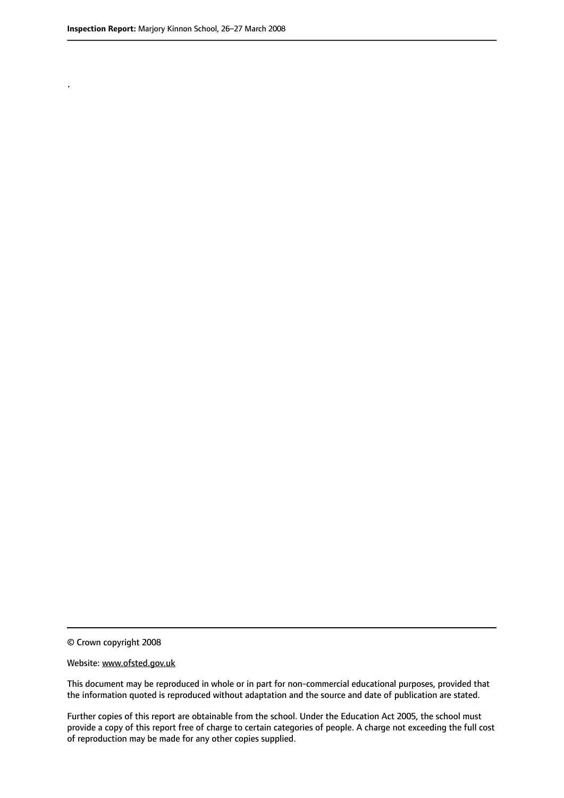.

© Crown copyright 2008

#### Website: www.ofsted.gov.uk

This document may be reproduced in whole or in part for non-commercial educational purposes, provided that the information quoted is reproduced without adaptation and the source and date of publication are stated.

Further copies of this report are obtainable from the school. Under the Education Act 2005, the school must provide a copy of this report free of charge to certain categories of people. A charge not exceeding the full cost of reproduction may be made for any other copies supplied.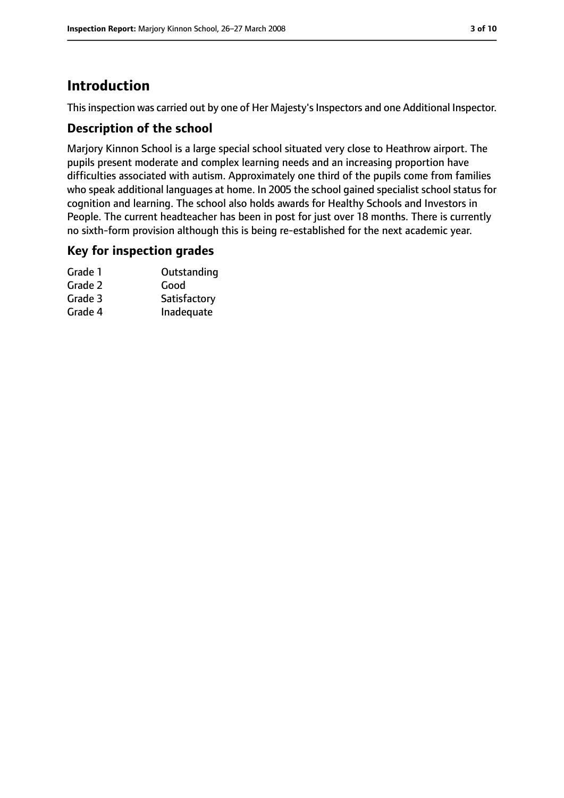## **Introduction**

This inspection was carried out by one of Her Majesty's Inspectors and one Additional Inspector.

#### **Description of the school**

Marjory Kinnon School is a large special school situated very close to Heathrow airport. The pupils present moderate and complex learning needs and an increasing proportion have difficulties associated with autism. Approximately one third of the pupils come from families who speak additional languages at home. In 2005 the school gained specialist school status for cognition and learning. The school also holds awards for Healthy Schools and Investors in People. The current headteacher has been in post for just over 18 months. There is currently no sixth-form provision although this is being re-established for the next academic year.

#### **Key for inspection grades**

| Grade 1 | Outstanding  |
|---------|--------------|
| Grade 2 | Good         |
| Grade 3 | Satisfactory |
| Grade 4 | Inadequate   |
|         |              |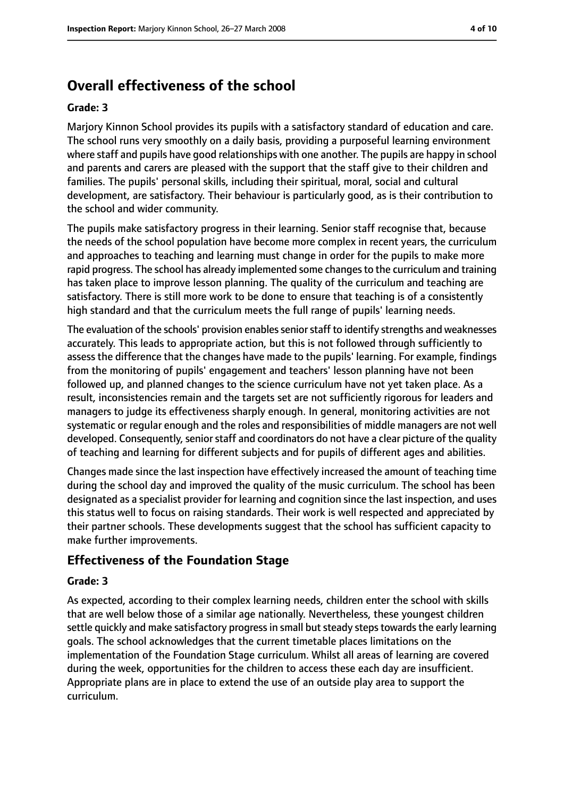# **Overall effectiveness of the school**

#### **Grade: 3**

Marjory Kinnon School provides its pupils with a satisfactory standard of education and care. The school runs very smoothly on a daily basis, providing a purposeful learning environment where staff and pupils have good relationships with one another. The pupils are happy in school and parents and carers are pleased with the support that the staff give to their children and families. The pupils' personal skills, including their spiritual, moral, social and cultural development, are satisfactory. Their behaviour is particularly good, as is their contribution to the school and wider community.

The pupils make satisfactory progress in their learning. Senior staff recognise that, because the needs of the school population have become more complex in recent years, the curriculum and approaches to teaching and learning must change in order for the pupils to make more rapid progress. The school has already implemented some changes to the curriculum and training has taken place to improve lesson planning. The quality of the curriculum and teaching are satisfactory. There is still more work to be done to ensure that teaching is of a consistently high standard and that the curriculum meets the full range of pupils' learning needs.

The evaluation of the schools' provision enables senior staff to identify strengths and weaknesses accurately. This leads to appropriate action, but this is not followed through sufficiently to assess the difference that the changes have made to the pupils' learning. For example, findings from the monitoring of pupils' engagement and teachers' lesson planning have not been followed up, and planned changes to the science curriculum have not yet taken place. As a result, inconsistencies remain and the targets set are not sufficiently rigorous for leaders and managers to judge its effectiveness sharply enough. In general, monitoring activities are not systematic or regular enough and the roles and responsibilities of middle managers are not well developed. Consequently, senior staff and coordinators do not have a clear picture of the quality of teaching and learning for different subjects and for pupils of different ages and abilities.

Changes made since the last inspection have effectively increased the amount of teaching time during the school day and improved the quality of the music curriculum. The school has been designated as a specialist provider for learning and cognition since the last inspection, and uses this status well to focus on raising standards. Their work is well respected and appreciated by their partner schools. These developments suggest that the school has sufficient capacity to make further improvements.

#### **Effectiveness of the Foundation Stage**

#### **Grade: 3**

As expected, according to their complex learning needs, children enter the school with skills that are well below those of a similar age nationally. Nevertheless, these youngest children settle quickly and make satisfactory progress in small but steady steps towards the early learning goals. The school acknowledges that the current timetable places limitations on the implementation of the Foundation Stage curriculum. Whilst all areas of learning are covered during the week, opportunities for the children to access these each day are insufficient. Appropriate plans are in place to extend the use of an outside play area to support the curriculum.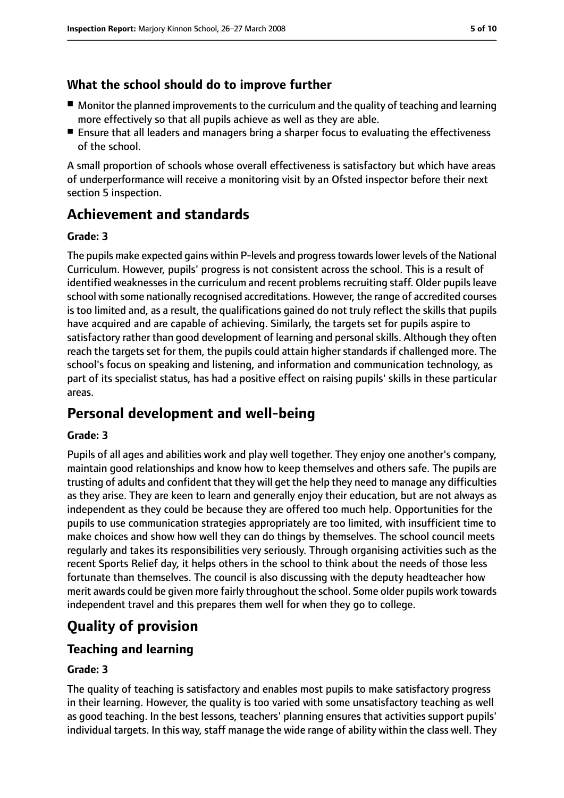### **What the school should do to improve further**

- Monitor the planned improvements to the curriculum and the quality of teaching and learning more effectively so that all pupils achieve as well as they are able.
- Ensure that all leaders and managers bring a sharper focus to evaluating the effectiveness of the school.

A small proportion of schools whose overall effectiveness is satisfactory but which have areas of underperformance will receive a monitoring visit by an Ofsted inspector before their next section 5 inspection.

## **Achievement and standards**

#### **Grade: 3**

The pupils make expected gains within P-levels and progresstowardslower levels of the National Curriculum. However, pupils' progress is not consistent across the school. This is a result of identified weaknesses in the curriculum and recent problems recruiting staff. Older pupils leave school with some nationally recognised accreditations. However, the range of accredited courses is too limited and, as a result, the qualifications gained do not truly reflect the skills that pupils have acquired and are capable of achieving. Similarly, the targets set for pupils aspire to satisfactory rather than good development of learning and personal skills. Although they often reach the targets set for them, the pupils could attain higher standards if challenged more. The school's focus on speaking and listening, and information and communication technology, as part of its specialist status, has had a positive effect on raising pupils' skills in these particular areas.

## **Personal development and well-being**

#### **Grade: 3**

Pupils of all ages and abilities work and play well together. They enjoy one another's company, maintain good relationships and know how to keep themselves and others safe. The pupils are trusting of adults and confident that they will get the help they need to manage any difficulties as they arise. They are keen to learn and generally enjoy their education, but are not always as independent as they could be because they are offered too much help. Opportunities for the pupils to use communication strategies appropriately are too limited, with insufficient time to make choices and show how well they can do things by themselves. The school council meets regularly and takes its responsibilities very seriously. Through organising activities such as the recent Sports Relief day, it helps others in the school to think about the needs of those less fortunate than themselves. The council is also discussing with the deputy headteacher how merit awards could be given more fairly throughout the school. Some older pupils work towards independent travel and this prepares them well for when they go to college.

# **Quality of provision**

#### **Teaching and learning**

#### **Grade: 3**

The quality of teaching is satisfactory and enables most pupils to make satisfactory progress in their learning. However, the quality is too varied with some unsatisfactory teaching as well as good teaching. In the best lessons, teachers' planning ensures that activities support pupils' individual targets. In this way, staff manage the wide range of ability within the class well. They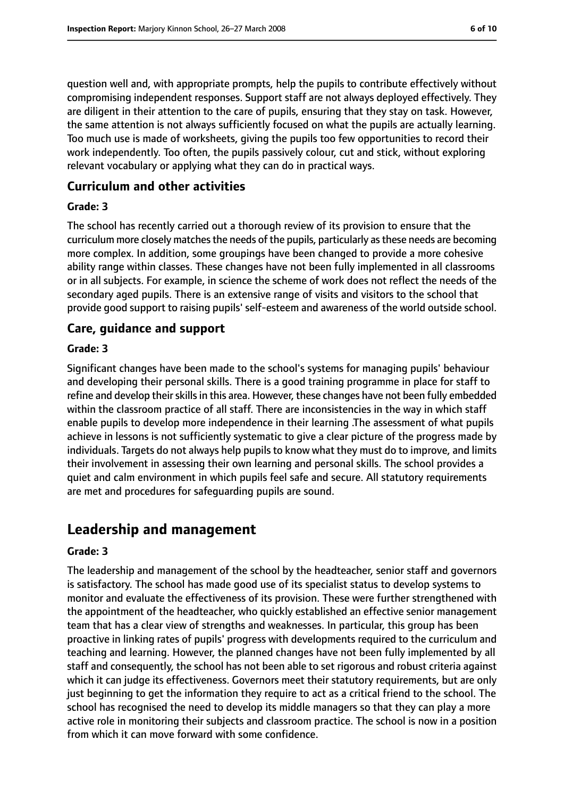question well and, with appropriate prompts, help the pupils to contribute effectively without compromising independent responses. Support staff are not always deployed effectively. They are diligent in their attention to the care of pupils, ensuring that they stay on task. However, the same attention is not always sufficiently focused on what the pupils are actually learning. Too much use is made of worksheets, giving the pupils too few opportunities to record their work independently. Too often, the pupils passively colour, cut and stick, without exploring relevant vocabulary or applying what they can do in practical ways.

#### **Curriculum and other activities**

#### **Grade: 3**

The school has recently carried out a thorough review of its provision to ensure that the curriculum more closely matches the needs of the pupils, particularly as these needs are becoming more complex. In addition, some groupings have been changed to provide a more cohesive ability range within classes. These changes have not been fully implemented in all classrooms or in all subjects. For example, in science the scheme of work does not reflect the needs of the secondary aged pupils. There is an extensive range of visits and visitors to the school that provide good support to raising pupils' self-esteem and awareness of the world outside school.

#### **Care, guidance and support**

#### **Grade: 3**

Significant changes have been made to the school's systems for managing pupils' behaviour and developing their personal skills. There is a good training programme in place for staff to refine and develop their skills in this area. However, these changes have not been fully embedded within the classroom practice of all staff. There are inconsistencies in the way in which staff enable pupils to develop more independence in their learning .The assessment of what pupils achieve in lessons is not sufficiently systematic to give a clear picture of the progress made by individuals. Targets do not always help pupils to know what they must do to improve, and limits their involvement in assessing their own learning and personal skills. The school provides a quiet and calm environment in which pupils feel safe and secure. All statutory requirements are met and procedures for safeguarding pupils are sound.

## **Leadership and management**

#### **Grade: 3**

The leadership and management of the school by the headteacher, senior staff and governors is satisfactory. The school has made good use of its specialist status to develop systems to monitor and evaluate the effectiveness of its provision. These were further strengthened with the appointment of the headteacher, who quickly established an effective senior management team that has a clear view of strengths and weaknesses. In particular, this group has been proactive in linking rates of pupils' progress with developments required to the curriculum and teaching and learning. However, the planned changes have not been fully implemented by all staff and consequently, the school has not been able to set rigorous and robust criteria against which it can judge its effectiveness. Governors meet their statutory requirements, but are only just beginning to get the information they require to act as a critical friend to the school. The school has recognised the need to develop its middle managers so that they can play a more active role in monitoring their subjects and classroom practice. The school is now in a position from which it can move forward with some confidence.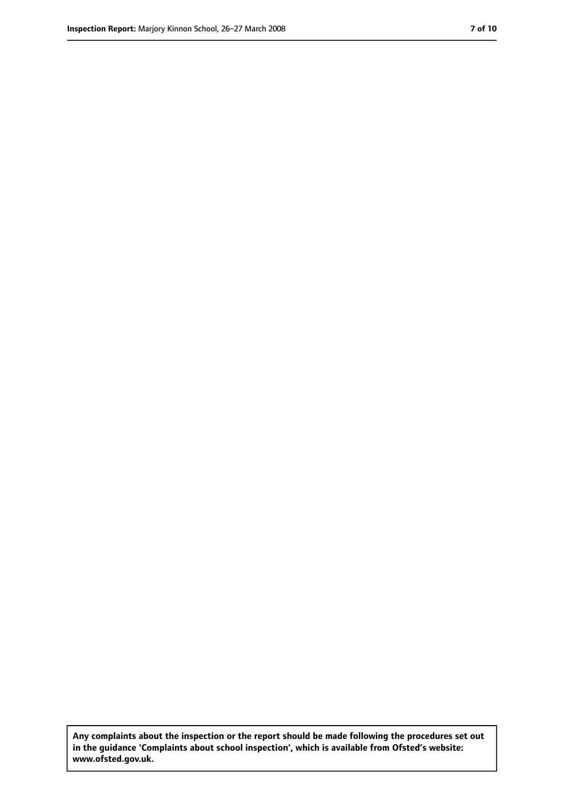**Any complaints about the inspection or the report should be made following the procedures set out in the guidance 'Complaints about school inspection', which is available from Ofsted's website: www.ofsted.gov.uk.**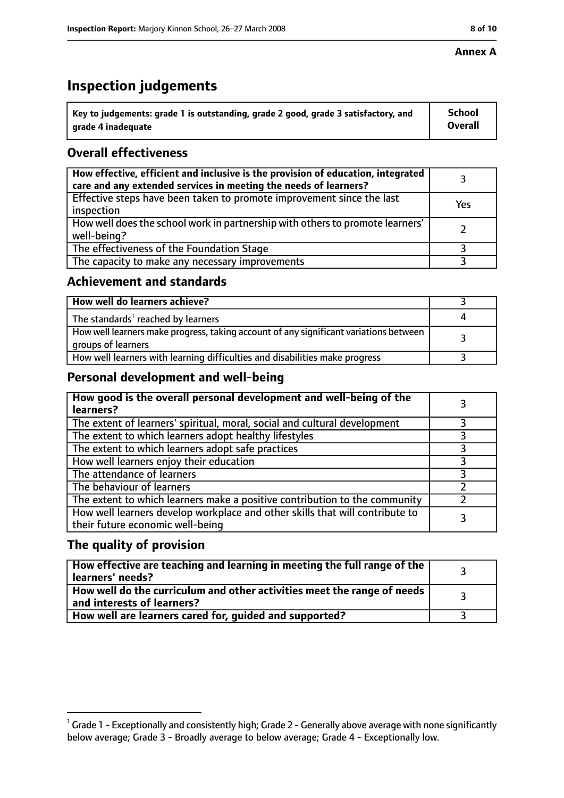#### **Annex A**

## **Inspection judgements**

| $^{\backprime}$ Key to judgements: grade 1 is outstanding, grade 2 good, grade 3 satisfactory, and | <b>School</b>  |
|----------------------------------------------------------------------------------------------------|----------------|
| arade 4 inadeguate                                                                                 | <b>Overall</b> |

## **Overall effectiveness**

| How effective, efficient and inclusive is the provision of education, integrated<br>care and any extended services in meeting the needs of learners? |     |
|------------------------------------------------------------------------------------------------------------------------------------------------------|-----|
| Effective steps have been taken to promote improvement since the last<br>inspection                                                                  | Yes |
| How well does the school work in partnership with others to promote learners'<br>well-being?                                                         |     |
| The effectiveness of the Foundation Stage                                                                                                            |     |
| The capacity to make any necessary improvements                                                                                                      |     |

#### **Achievement and standards**

| How well do learners achieve?                                                                               |  |
|-------------------------------------------------------------------------------------------------------------|--|
| The standards <sup>1</sup> reached by learners                                                              |  |
| How well learners make progress, taking account of any significant variations between<br>groups of learners |  |
| How well learners with learning difficulties and disabilities make progress                                 |  |

#### **Personal development and well-being**

| How good is the overall personal development and well-being of the<br>learners?                                  |  |
|------------------------------------------------------------------------------------------------------------------|--|
| The extent of learners' spiritual, moral, social and cultural development                                        |  |
| The extent to which learners adopt healthy lifestyles                                                            |  |
| The extent to which learners adopt safe practices                                                                |  |
| How well learners enjoy their education                                                                          |  |
| The attendance of learners                                                                                       |  |
| The behaviour of learners                                                                                        |  |
| The extent to which learners make a positive contribution to the community                                       |  |
| How well learners develop workplace and other skills that will contribute to<br>their future economic well-being |  |

#### **The quality of provision**

| How effective are teaching and learning in meeting the full range of the<br>learners' needs?          |  |
|-------------------------------------------------------------------------------------------------------|--|
| How well do the curriculum and other activities meet the range of needs<br>and interests of learners? |  |
| How well are learners cared for, quided and supported?                                                |  |

 $^1$  Grade 1 - Exceptionally and consistently high; Grade 2 - Generally above average with none significantly below average; Grade 3 - Broadly average to below average; Grade 4 - Exceptionally low.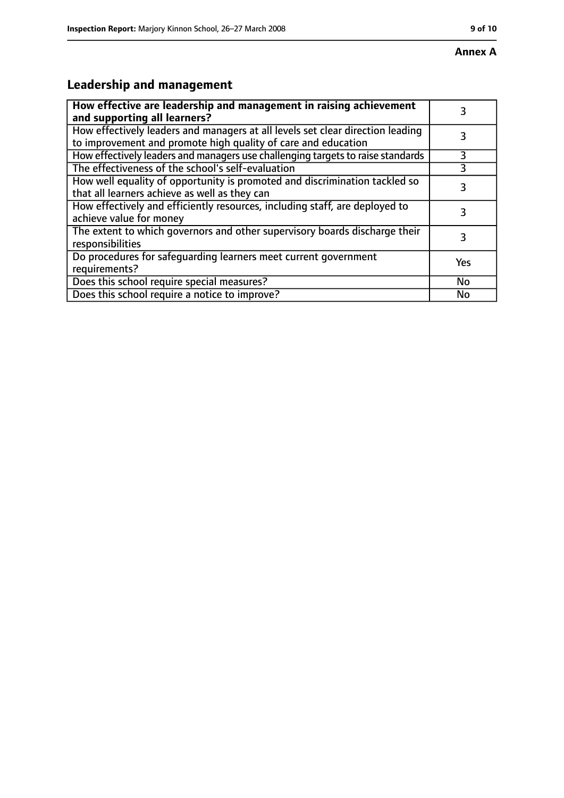#### **Annex A**

# **Leadership and management**

| How effective are leadership and management in raising achievement<br>and supporting all learners?                                              |     |
|-------------------------------------------------------------------------------------------------------------------------------------------------|-----|
| How effectively leaders and managers at all levels set clear direction leading<br>to improvement and promote high quality of care and education |     |
| How effectively leaders and managers use challenging targets to raise standards                                                                 | 3   |
| The effectiveness of the school's self-evaluation                                                                                               | 3   |
| How well equality of opportunity is promoted and discrimination tackled so<br>that all learners achieve as well as they can                     | 3   |
| How effectively and efficiently resources, including staff, are deployed to<br>achieve value for money                                          | 3   |
| The extent to which governors and other supervisory boards discharge their<br>responsibilities                                                  | 3   |
| Do procedures for safequarding learners meet current government<br>requirements?                                                                | Yes |
| Does this school require special measures?                                                                                                      | No  |
| Does this school require a notice to improve?                                                                                                   | No  |